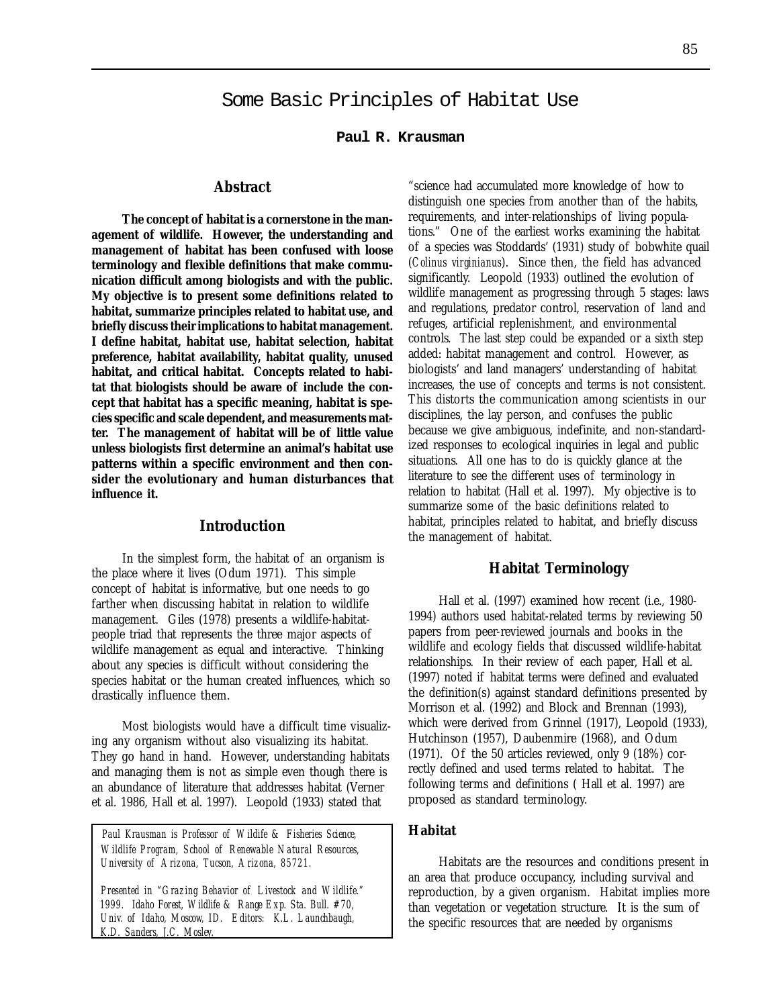**Paul R. Krausman**

## **Abstract**

**The concept of habitat is a cornerstone in the management of wildlife. However, the understanding and management of habitat has been confused with loose terminology and flexible definitions that make communication difficult among biologists and with the public. My objective is to present some definitions related to habitat, summarize principles related to habitat use, and briefly discuss their implications to habitat management. I define habitat, habitat use, habitat selection, habitat preference, habitat availability, habitat quality, unused habitat, and critical habitat. Concepts related to habitat that biologists should be aware of include the concept that habitat has a specific meaning, habitat is species specific and scale dependent, and measurements matter. The management of habitat will be of little value unless biologists first determine an animal's habitat use patterns within a specific environment and then consider the evolutionary and human disturbances that influence it.**

### **Introduction**

In the simplest form, the habitat of an organism is the place where it lives (Odum 1971). This simple concept of habitat is informative, but one needs to go farther when discussing habitat in relation to wildlife management. Giles (1978) presents a wildlife-habitatpeople triad that represents the three major aspects of wildlife management as equal and interactive. Thinking about any species is difficult without considering the species habitat or the human created influences, which so drastically influence them.

Most biologists would have a difficult time visualizing any organism without also visualizing its habitat. They go hand in hand. However, understanding habitats and managing them is not as simple even though there is an abundance of literature that addresses habitat (Verner et al. 1986, Hall et al. 1997). Leopold (1933) stated that

*Paul Krausman is Professor of Wildife & Fisheries Science, Wildlife Program, School of Renewable Natural Resources, University of Arizona, Tucson, Arizona, 85721.*

 *Presented in "Grazing Behavior of Livestock and Wildlife." 1999. Idaho Forest, Wildlife & Range Exp. Sta. Bull. #70, Univ. of Idaho, Moscow, ID. Editors: K.L. Launchbaugh, K.D. Sanders, J.C. Mosley.*

"science had accumulated more knowledge of how to distinguish one species from another than of the habits, requirements, and inter-relationships of living populations." One of the earliest works examining the habitat of a species was Stoddards' (1931) study of bobwhite quail (*Colinus virginianus*). Since then, the field has advanced significantly. Leopold (1933) outlined the evolution of wildlife management as progressing through 5 stages: laws and regulations, predator control, reservation of land and refuges, artificial replenishment, and environmental controls. The last step could be expanded or a sixth step added: habitat management and control. However, as biologists' and land managers' understanding of habitat increases, the use of concepts and terms is not consistent. This distorts the communication among scientists in our disciplines, the lay person, and confuses the public because we give ambiguous, indefinite, and non-standardized responses to ecological inquiries in legal and public situations. All one has to do is quickly glance at the literature to see the different uses of terminology in relation to habitat (Hall et al. 1997). My objective is to summarize some of the basic definitions related to habitat, principles related to habitat, and briefly discuss the management of habitat.

### **Habitat Terminology**

Hall et al. (1997) examined how recent (i.e., 1980- 1994) authors used habitat-related terms by reviewing 50 papers from peer-reviewed journals and books in the wildlife and ecology fields that discussed wildlife-habitat relationships. In their review of each paper, Hall et al. (1997) noted if habitat terms were defined and evaluated the definition(s) against standard definitions presented by Morrison et al. (1992) and Block and Brennan (1993), which were derived from Grinnel (1917), Leopold (1933), Hutchinson (1957), Daubenmire (1968), and Odum (1971). Of the 50 articles reviewed, only 9 (18%) correctly defined and used terms related to habitat. The following terms and definitions ( Hall et al. 1997) are proposed as standard terminology.

### **Habitat**

Habitats are the resources and conditions present in an area that produce occupancy, including survival and reproduction, by a given organism. Habitat implies more than vegetation or vegetation structure. It is the sum of the specific resources that are needed by organisms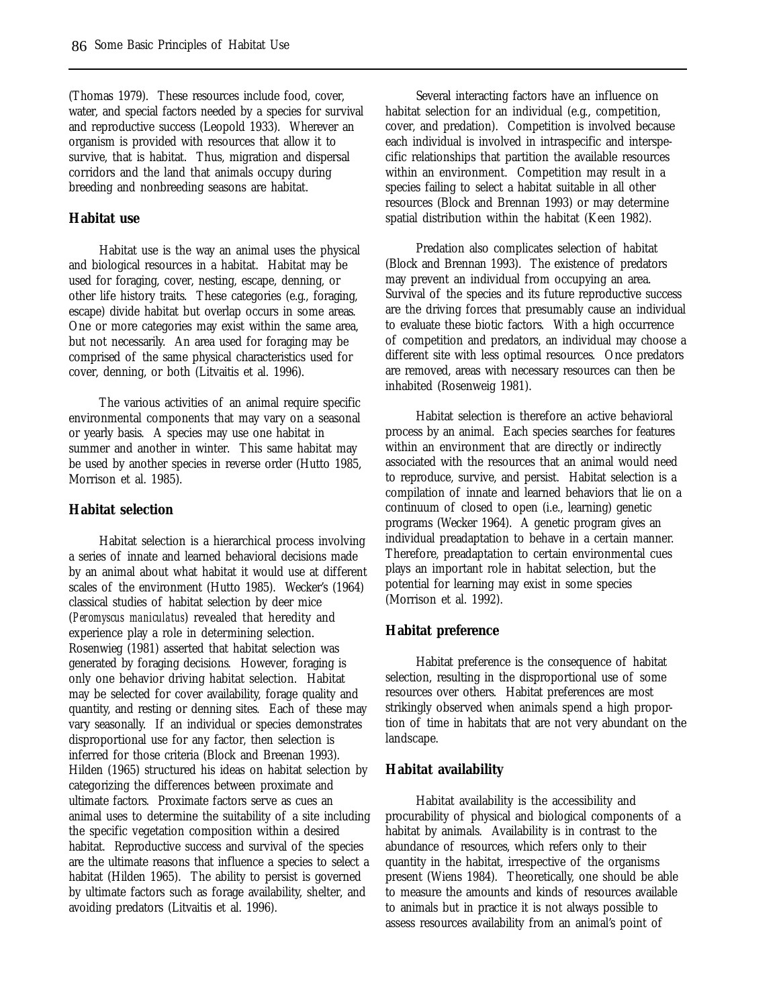(Thomas 1979). These resources include food, cover, water, and special factors needed by a species for survival and reproductive success (Leopold 1933). Wherever an organism is provided with resources that allow it to survive, that is habitat. Thus, migration and dispersal corridors and the land that animals occupy during breeding and nonbreeding seasons are habitat.

#### **Habitat use**

Habitat use is the way an animal uses the physical and biological resources in a habitat. Habitat may be used for foraging, cover, nesting, escape, denning, or other life history traits. These categories (e.g., foraging, escape) divide habitat but overlap occurs in some areas. One or more categories may exist within the same area, but not necessarily. An area used for foraging may be comprised of the same physical characteristics used for cover, denning, or both (Litvaitis et al. 1996).

The various activities of an animal require specific environmental components that may vary on a seasonal or yearly basis. A species may use one habitat in summer and another in winter. This same habitat may be used by another species in reverse order (Hutto 1985, Morrison et al. 1985).

#### **Habitat selection**

Habitat selection is a hierarchical process involving a series of innate and learned behavioral decisions made by an animal about what habitat it would use at different scales of the environment (Hutto 1985). Wecker's (1964) classical studies of habitat selection by deer mice (*Peromyscus maniculatus*) revealed that heredity and experience play a role in determining selection. Rosenwieg (1981) asserted that habitat selection was generated by foraging decisions. However, foraging is only one behavior driving habitat selection. Habitat may be selected for cover availability, forage quality and quantity, and resting or denning sites. Each of these may vary seasonally. If an individual or species demonstrates disproportional use for any factor, then selection is inferred for those criteria (Block and Breenan 1993). Hilden (1965) structured his ideas on habitat selection by categorizing the differences between proximate and ultimate factors. Proximate factors serve as cues an animal uses to determine the suitability of a site including the specific vegetation composition within a desired habitat. Reproductive success and survival of the species are the ultimate reasons that influence a species to select a habitat (Hilden 1965). The ability to persist is governed by ultimate factors such as forage availability, shelter, and avoiding predators (Litvaitis et al. 1996).

Several interacting factors have an influence on habitat selection for an individual (e.g., competition, cover, and predation). Competition is involved because each individual is involved in intraspecific and interspecific relationships that partition the available resources within an environment. Competition may result in a species failing to select a habitat suitable in all other resources (Block and Brennan 1993) or may determine spatial distribution within the habitat (Keen 1982).

Predation also complicates selection of habitat (Block and Brennan 1993). The existence of predators may prevent an individual from occupying an area. Survival of the species and its future reproductive success are the driving forces that presumably cause an individual to evaluate these biotic factors. With a high occurrence of competition and predators, an individual may choose a different site with less optimal resources. Once predators are removed, areas with necessary resources can then be inhabited (Rosenweig 1981).

Habitat selection is therefore an active behavioral process by an animal. Each species searches for features within an environment that are directly or indirectly associated with the resources that an animal would need to reproduce, survive, and persist. Habitat selection is a compilation of innate and learned behaviors that lie on a continuum of closed to open (i.e., learning) genetic programs (Wecker 1964). A genetic program gives an individual preadaptation to behave in a certain manner. Therefore, preadaptation to certain environmental cues plays an important role in habitat selection, but the potential for learning may exist in some species (Morrison et al. 1992).

#### **Habitat preference**

Habitat preference is the consequence of habitat selection, resulting in the disproportional use of some resources over others. Habitat preferences are most strikingly observed when animals spend a high proportion of time in habitats that are not very abundant on the landscape.

#### **Habitat availability**

Habitat availability is the accessibility and procurability of physical and biological components of a habitat by animals. Availability is in contrast to the abundance of resources, which refers only to their quantity in the habitat, irrespective of the organisms present (Wiens 1984). Theoretically, one should be able to measure the amounts and kinds of resources available to animals but in practice it is not always possible to assess resources availability from an animal's point of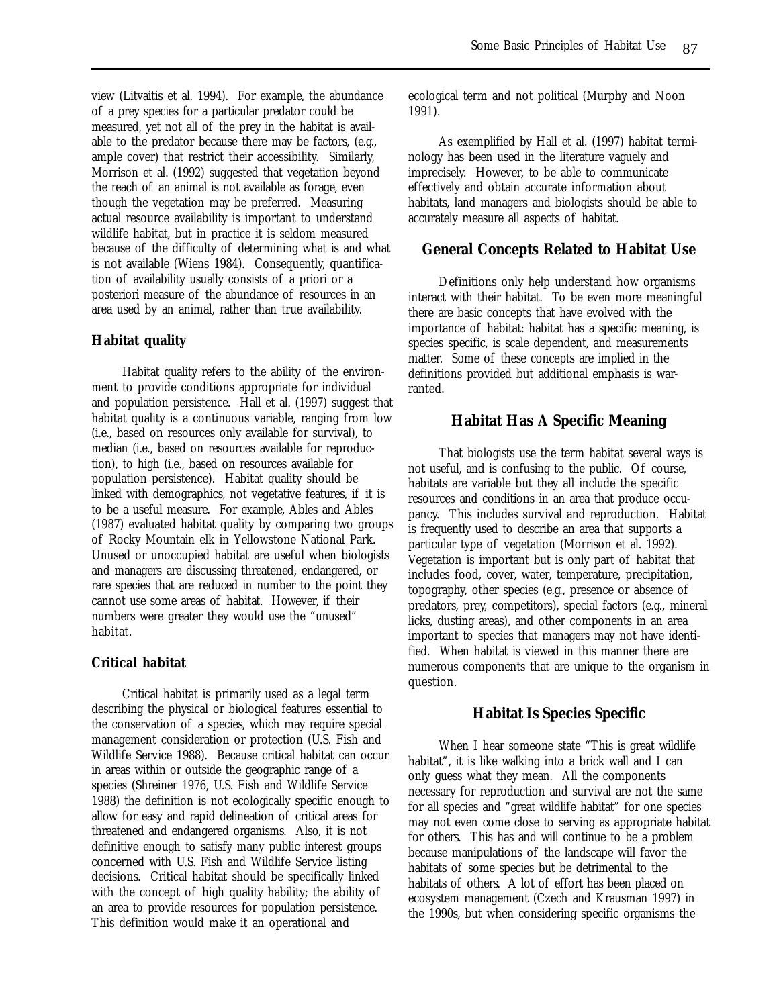view (Litvaitis et al. 1994). For example, the abundance of a prey species for a particular predator could be measured, yet not all of the prey in the habitat is available to the predator because there may be factors, (e.g., ample cover) that restrict their accessibility. Similarly, Morrison et al. (1992) suggested that vegetation beyond the reach of an animal is not available as forage, even though the vegetation may be preferred. Measuring actual resource availability is important to understand wildlife habitat, but in practice it is seldom measured because of the difficulty of determining what is and what is not available (Wiens 1984). Consequently, quantification of availability usually consists of a priori or a posteriori measure of the abundance of resources in an area used by an animal, rather than true availability.

### **Habitat quality**

Habitat quality refers to the ability of the environment to provide conditions appropriate for individual and population persistence. Hall et al. (1997) suggest that habitat quality is a continuous variable, ranging from low (i.e., based on resources only available for survival), to median (i.e., based on resources available for reproduction), to high (i.e., based on resources available for population persistence). Habitat quality should be linked with demographics, not vegetative features, if it is to be a useful measure. For example, Ables and Ables (1987) evaluated habitat quality by comparing two groups of Rocky Mountain elk in Yellowstone National Park. Unused or unoccupied habitat are useful when biologists and managers are discussing threatened, endangered, or rare species that are reduced in number to the point they cannot use some areas of habitat. However, if their numbers were greater they would use the "unused" habitat.

### **Critical habitat**

Critical habitat is primarily used as a legal term describing the physical or biological features essential to the conservation of a species, which may require special management consideration or protection (U.S. Fish and Wildlife Service 1988). Because critical habitat can occur in areas within or outside the geographic range of a species (Shreiner 1976, U.S. Fish and Wildlife Service 1988) the definition is not ecologically specific enough to allow for easy and rapid delineation of critical areas for threatened and endangered organisms. Also, it is not definitive enough to satisfy many public interest groups concerned with U.S. Fish and Wildlife Service listing decisions. Critical habitat should be specifically linked with the concept of high quality hability; the ability of an area to provide resources for population persistence. This definition would make it an operational and

ecological term and not political (Murphy and Noon 1991).

As exemplified by Hall et al. (1997) habitat terminology has been used in the literature vaguely and imprecisely. However, to be able to communicate effectively and obtain accurate information about habitats, land managers and biologists should be able to accurately measure all aspects of habitat.

## **General Concepts Related to Habitat Use**

Definitions only help understand how organisms interact with their habitat. To be even more meaningful there are basic concepts that have evolved with the importance of habitat: habitat has a specific meaning, is species specific, is scale dependent, and measurements matter. Some of these concepts are implied in the definitions provided but additional emphasis is warranted.

## **Habitat Has A Specific Meaning**

That biologists use the term habitat several ways is not useful, and is confusing to the public. Of course, habitats are variable but they all include the specific resources and conditions in an area that produce occupancy. This includes survival and reproduction. Habitat is frequently used to describe an area that supports a particular type of vegetation (Morrison et al. 1992). Vegetation is important but is only part of habitat that includes food, cover, water, temperature, precipitation, topography, other species (e.g., presence or absence of predators, prey, competitors), special factors (e.g., mineral licks, dusting areas), and other components in an area important to species that managers may not have identified. When habitat is viewed in this manner there are numerous components that are unique to the organism in question.

### **Habitat Is Species Specific**

When I hear someone state "This is great wildlife habitat", it is like walking into a brick wall and I can only guess what they mean. All the components necessary for reproduction and survival are not the same for all species and "great wildlife habitat" for one species may not even come close to serving as appropriate habitat for others. This has and will continue to be a problem because manipulations of the landscape will favor the habitats of some species but be detrimental to the habitats of others. A lot of effort has been placed on ecosystem management (Czech and Krausman 1997) in the 1990s, but when considering specific organisms the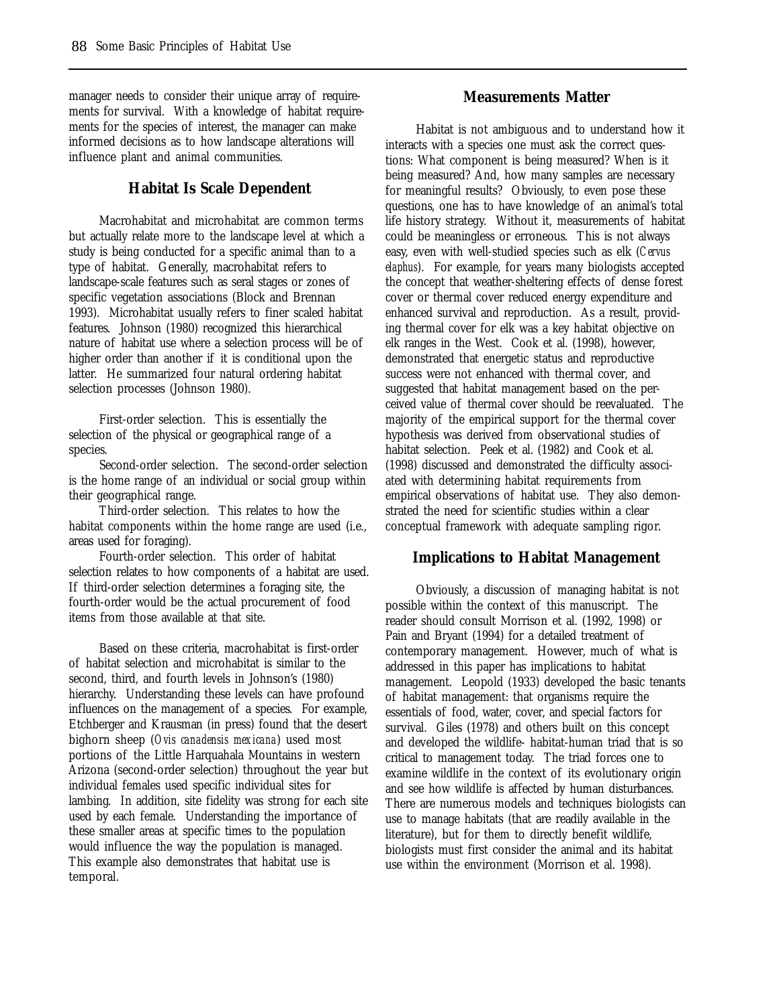manager needs to consider their unique array of requirements for survival. With a knowledge of habitat requirements for the species of interest, the manager can make informed decisions as to how landscape alterations will influence plant and animal communities.

# **Habitat Is Scale Dependent**

Macrohabitat and microhabitat are common terms but actually relate more to the landscape level at which a study is being conducted for a specific animal than to a type of habitat. Generally, macrohabitat refers to landscape-scale features such as seral stages or zones of specific vegetation associations (Block and Brennan 1993). Microhabitat usually refers to finer scaled habitat features. Johnson (1980) recognized this hierarchical nature of habitat use where a selection process will be of higher order than another if it is conditional upon the latter. He summarized four natural ordering habitat selection processes (Johnson 1980).

First-order selection. This is essentially the selection of the physical or geographical range of a species.

Second-order selection. The second-order selection is the home range of an individual or social group within their geographical range.

Third-order selection. This relates to how the habitat components within the home range are used (i.e., areas used for foraging).

Fourth-order selection. This order of habitat selection relates to how components of a habitat are used. If third-order selection determines a foraging site, the fourth-order would be the actual procurement of food items from those available at that site.

Based on these criteria, macrohabitat is first-order of habitat selection and microhabitat is similar to the second, third, and fourth levels in Johnson's (1980) hierarchy. Understanding these levels can have profound influences on the management of a species. For example, Etchberger and Krausman (in press) found that the desert bighorn sheep (*Ovis canadensis mexicana*) used most portions of the Little Harquahala Mountains in western Arizona (second-order selection) throughout the year but individual females used specific individual sites for lambing. In addition, site fidelity was strong for each site used by each female. Understanding the importance of these smaller areas at specific times to the population would influence the way the population is managed. This example also demonstrates that habitat use is temporal.

# **Measurements Matter**

Habitat is not ambiguous and to understand how it interacts with a species one must ask the correct questions: What component is being measured? When is it being measured? And, how many samples are necessary for meaningful results? Obviously, to even pose these questions, one has to have knowledge of an animal's total life history strategy. Without it, measurements of habitat could be meaningless or erroneous. This is not always easy, even with well-studied species such as elk (*Cervus elaphus*). For example, for years many biologists accepted the concept that weather-sheltering effects of dense forest cover or thermal cover reduced energy expenditure and enhanced survival and reproduction. As a result, providing thermal cover for elk was a key habitat objective on elk ranges in the West. Cook et al. (1998), however, demonstrated that energetic status and reproductive success were not enhanced with thermal cover, and suggested that habitat management based on the perceived value of thermal cover should be reevaluated. The majority of the empirical support for the thermal cover hypothesis was derived from observational studies of habitat selection. Peek et al. (1982) and Cook et al. (1998) discussed and demonstrated the difficulty associated with determining habitat requirements from empirical observations of habitat use. They also demonstrated the need for scientific studies within a clear conceptual framework with adequate sampling rigor.

# **Implications to Habitat Management**

Obviously, a discussion of managing habitat is not possible within the context of this manuscript. The reader should consult Morrison et al. (1992, 1998) or Pain and Bryant (1994) for a detailed treatment of contemporary management. However, much of what is addressed in this paper has implications to habitat management. Leopold (1933) developed the basic tenants of habitat management: that organisms require the essentials of food, water, cover, and special factors for survival. Giles (1978) and others built on this concept and developed the wildlife- habitat-human triad that is so critical to management today. The triad forces one to examine wildlife in the context of its evolutionary origin and see how wildlife is affected by human disturbances. There are numerous models and techniques biologists can use to manage habitats (that are readily available in the literature), but for them to directly benefit wildlife, biologists must first consider the animal and its habitat use within the environment (Morrison et al. 1998).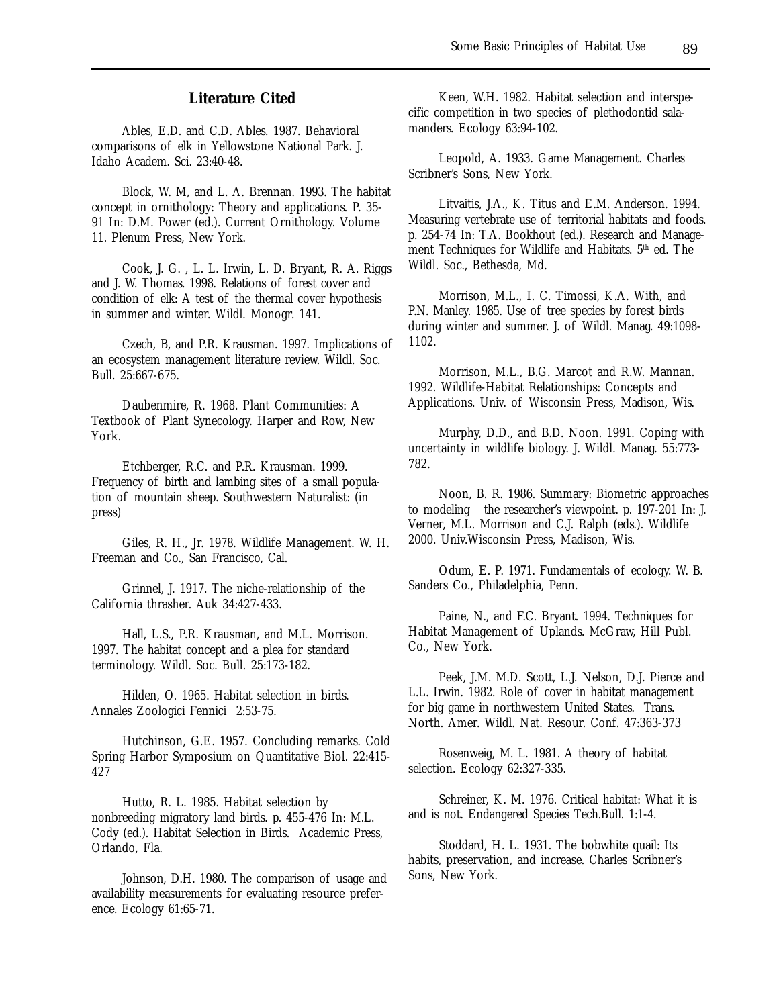# **Literature Cited**

Ables, E.D. and C.D. Ables. 1987. Behavioral comparisons of elk in Yellowstone National Park. J. Idaho Academ. Sci. 23:40-48.

Block, W. M, and L. A. Brennan. 1993. The habitat concept in ornithology: Theory and applications. P. 35- 91 In: D.M. Power (ed.). Current Ornithology. Volume 11. Plenum Press, New York.

Cook, J. G. , L. L. Irwin, L. D. Bryant, R. A. Riggs and J. W. Thomas. 1998. Relations of forest cover and condition of elk: A test of the thermal cover hypothesis in summer and winter. Wildl. Monogr. 141.

Czech, B, and P.R. Krausman. 1997. Implications of an ecosystem management literature review. Wildl. Soc. Bull. 25:667-675.

Daubenmire, R. 1968. Plant Communities: A Textbook of Plant Synecology. Harper and Row, New York.

Etchberger, R.C. and P.R. Krausman. 1999. Frequency of birth and lambing sites of a small population of mountain sheep. Southwestern Naturalist: (in press)

Giles, R. H., Jr. 1978. Wildlife Management. W. H. Freeman and Co., San Francisco, Cal.

Grinnel, J. 1917. The niche-relationship of the California thrasher. Auk 34:427-433.

Hall, L.S., P.R. Krausman, and M.L. Morrison. 1997. The habitat concept and a plea for standard terminology. Wildl. Soc. Bull. 25:173-182.

Hilden, O. 1965. Habitat selection in birds. Annales Zoologici Fennici 2:53-75.

Hutchinson, G.E. 1957. Concluding remarks. Cold Spring Harbor Symposium on Quantitative Biol. 22:415- 427

Hutto, R. L. 1985. Habitat selection by nonbreeding migratory land birds. p. 455-476 In: M.L. Cody (ed.). Habitat Selection in Birds. Academic Press, Orlando, Fla.

Johnson, D.H. 1980. The comparison of usage and availability measurements for evaluating resource preference. Ecology 61:65-71.

Keen, W.H. 1982. Habitat selection and interspecific competition in two species of plethodontid salamanders. Ecology 63:94-102.

Leopold, A. 1933. Game Management. Charles Scribner's Sons, New York.

Litvaitis, J.A., K. Titus and E.M. Anderson. 1994. Measuring vertebrate use of territorial habitats and foods. p. 254-74 In: T.A. Bookhout (ed.). Research and Management Techniques for Wildlife and Habitats. 5th ed. The Wildl. Soc., Bethesda, Md.

Morrison, M.L., I. C. Timossi, K.A. With, and P.N. Manley. 1985. Use of tree species by forest birds during winter and summer. J. of Wildl. Manag. 49:1098- 1102.

Morrison, M.L., B.G. Marcot and R.W. Mannan. 1992. Wildlife-Habitat Relationships: Concepts and Applications. Univ. of Wisconsin Press, Madison, Wis.

Murphy, D.D., and B.D. Noon. 1991. Coping with uncertainty in wildlife biology. J. Wildl. Manag. 55:773- 782.

Noon, B. R. 1986. Summary: Biometric approaches to modeling the researcher's viewpoint. p. 197-201 In: J. Verner, M.L. Morrison and C.J. Ralph (eds.). Wildlife 2000. Univ.Wisconsin Press, Madison, Wis.

Odum, E. P. 1971. Fundamentals of ecology. W. B. Sanders Co., Philadelphia, Penn.

Paine, N., and F.C. Bryant. 1994. Techniques for Habitat Management of Uplands. McGraw, Hill Publ. Co., New York.

Peek, J.M. M.D. Scott, L.J. Nelson, D.J. Pierce and L.L. Irwin. 1982. Role of cover in habitat management for big game in northwestern United States. Trans. North. Amer. Wildl. Nat. Resour. Conf. 47:363-373

Rosenweig, M. L. 1981. A theory of habitat selection. Ecology 62:327-335.

Schreiner, K. M. 1976. Critical habitat: What it is and is not. Endangered Species Tech.Bull. 1:1-4.

Stoddard, H. L. 1931. The bobwhite quail: Its habits, preservation, and increase. Charles Scribner's Sons, New York.